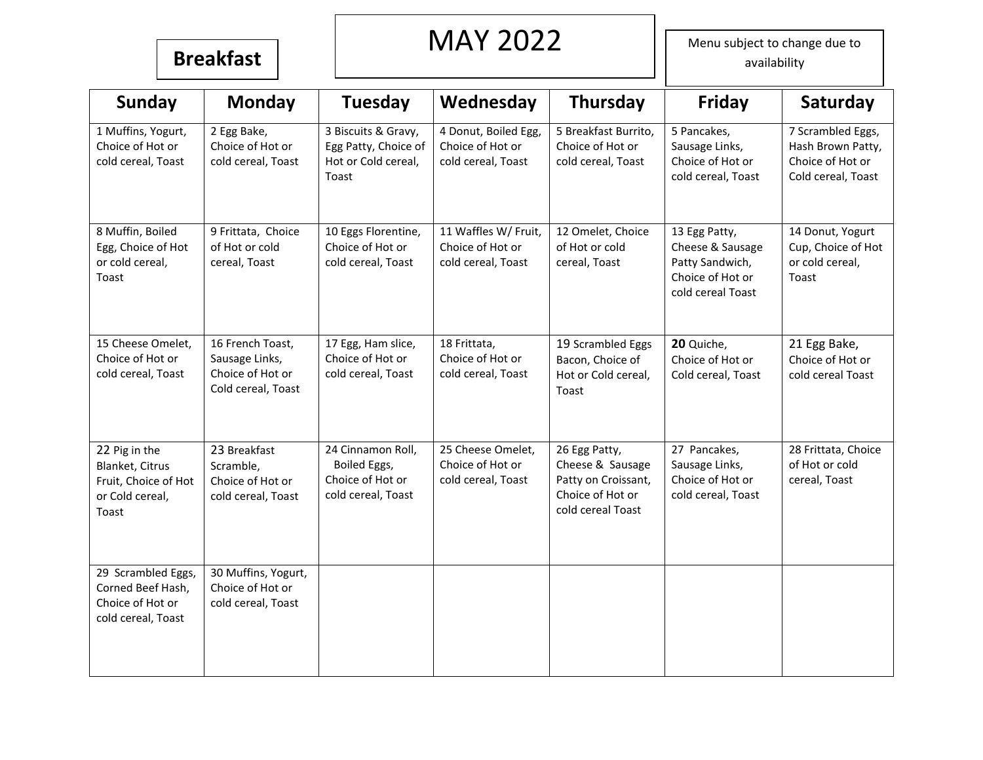### **Breakfast**

## MAY 2022

Menu subject to change due to availability

| <b>Sunday</b>                                                                        | <b>Monday</b>                                                                | <b>Tuesday</b>                                                              | Wednesday                                                      | Thursday                                                                                          | <b>Friday</b>                                                                                 | Saturday                                                                         |
|--------------------------------------------------------------------------------------|------------------------------------------------------------------------------|-----------------------------------------------------------------------------|----------------------------------------------------------------|---------------------------------------------------------------------------------------------------|-----------------------------------------------------------------------------------------------|----------------------------------------------------------------------------------|
| 1 Muffins, Yogurt,<br>Choice of Hot or<br>cold cereal, Toast                         | 2 Egg Bake,<br>Choice of Hot or<br>cold cereal, Toast                        | 3 Biscuits & Gravy,<br>Egg Patty, Choice of<br>Hot or Cold cereal,<br>Toast | 4 Donut, Boiled Egg,<br>Choice of Hot or<br>cold cereal, Toast | 5 Breakfast Burrito,<br>Choice of Hot or<br>cold cereal, Toast                                    | 5 Pancakes,<br>Sausage Links,<br>Choice of Hot or<br>cold cereal, Toast                       | 7 Scrambled Eggs,<br>Hash Brown Patty,<br>Choice of Hot or<br>Cold cereal, Toast |
| 8 Muffin, Boiled<br>Egg, Choice of Hot<br>or cold cereal,<br>Toast                   | 9 Frittata, Choice<br>of Hot or cold<br>cereal, Toast                        | 10 Eggs Florentine,<br>Choice of Hot or<br>cold cereal, Toast               | 11 Waffles W/ Fruit,<br>Choice of Hot or<br>cold cereal, Toast | 12 Omelet, Choice<br>of Hot or cold<br>cereal, Toast                                              | 13 Egg Patty,<br>Cheese & Sausage<br>Patty Sandwich,<br>Choice of Hot or<br>cold cereal Toast | 14 Donut, Yogurt<br>Cup, Choice of Hot<br>or cold cereal,<br>Toast               |
| 15 Cheese Omelet,<br>Choice of Hot or<br>cold cereal, Toast                          | 16 French Toast,<br>Sausage Links,<br>Choice of Hot or<br>Cold cereal, Toast | 17 Egg, Ham slice,<br>Choice of Hot or<br>cold cereal, Toast                | 18 Frittata,<br>Choice of Hot or<br>cold cereal, Toast         | 19 Scrambled Eggs<br>Bacon, Choice of<br>Hot or Cold cereal,<br>Toast                             | 20 Quiche,<br>Choice of Hot or<br>Cold cereal, Toast                                          | 21 Egg Bake,<br>Choice of Hot or<br>cold cereal Toast                            |
| 22 Pig in the<br>Blanket, Citrus<br>Fruit, Choice of Hot<br>or Cold cereal,<br>Toast | 23 Breakfast<br>Scramble,<br>Choice of Hot or<br>cold cereal, Toast          | 24 Cinnamon Roll,<br>Boiled Eggs,<br>Choice of Hot or<br>cold cereal, Toast | 25 Cheese Omelet,<br>Choice of Hot or<br>cold cereal, Toast    | 26 Egg Patty,<br>Cheese & Sausage<br>Patty on Croissant,<br>Choice of Hot or<br>cold cereal Toast | 27 Pancakes,<br>Sausage Links,<br>Choice of Hot or<br>cold cereal, Toast                      | 28 Frittata, Choice<br>of Hot or cold<br>cereal, Toast                           |
| 29 Scrambled Eggs,<br>Corned Beef Hash,<br>Choice of Hot or<br>cold cereal, Toast    | 30 Muffins, Yogurt,<br>Choice of Hot or<br>cold cereal, Toast                |                                                                             |                                                                |                                                                                                   |                                                                                               |                                                                                  |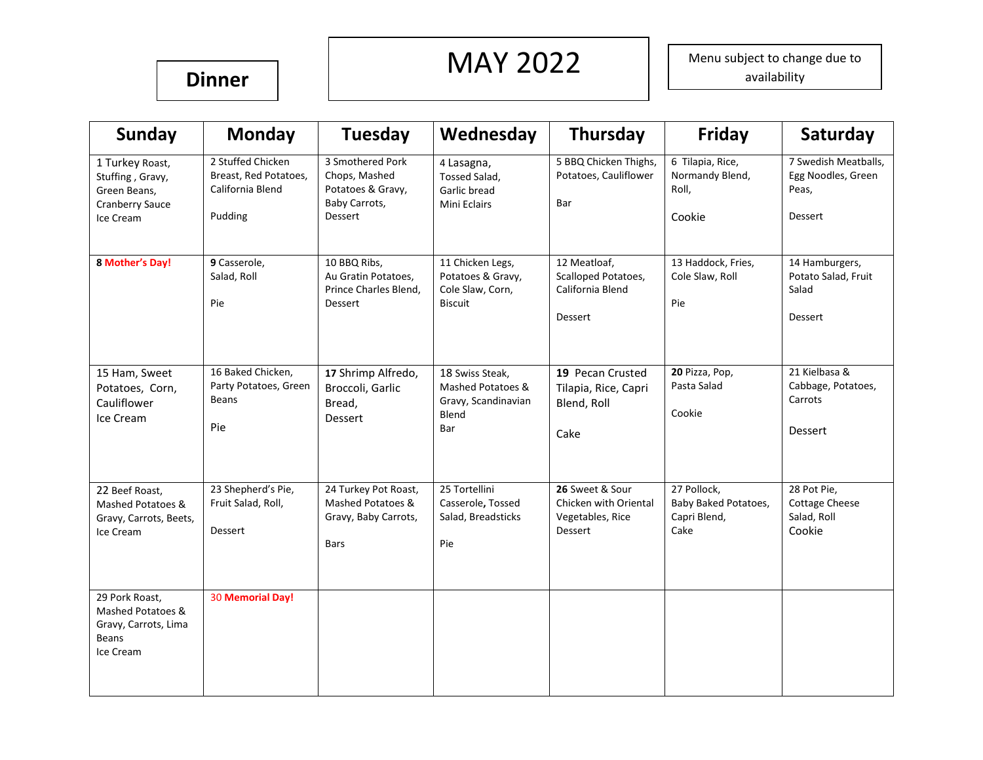# **Dinner** MAY 2022

Menu subject to change due to availability

| Sunday                                                                                     | <b>Monday</b>                                                             | <b>Tuesday</b>                                                                     | Wednesday                                                                   | Thursday                                                                       | Friday                                                      | Saturday                                                         |
|--------------------------------------------------------------------------------------------|---------------------------------------------------------------------------|------------------------------------------------------------------------------------|-----------------------------------------------------------------------------|--------------------------------------------------------------------------------|-------------------------------------------------------------|------------------------------------------------------------------|
| 1 Turkey Roast,<br>Stuffing, Gravy,<br>Green Beans,<br><b>Cranberry Sauce</b><br>Ice Cream | 2 Stuffed Chicken<br>Breast, Red Potatoes,<br>California Blend<br>Pudding | 3 Smothered Pork<br>Chops, Mashed<br>Potatoes & Gravy,<br>Baby Carrots,<br>Dessert | 4 Lasagna,<br>Tossed Salad,<br>Garlic bread<br>Mini Eclairs                 | 5 BBQ Chicken Thighs,<br>Potatoes, Cauliflower<br>Bar                          | 6 Tilapia, Rice,<br>Normandy Blend,<br>Roll,<br>Cookie      | 7 Swedish Meatballs,<br>Egg Noodles, Green<br>Peas,<br>Dessert   |
| 8 Mother's Day!                                                                            | 9 Casserole,<br>Salad, Roll<br>Pie                                        | 10 BBQ Ribs,<br>Au Gratin Potatoes,<br>Prince Charles Blend,<br>Dessert            | 11 Chicken Legs,<br>Potatoes & Gravy,<br>Cole Slaw, Corn,<br><b>Biscuit</b> | 12 Meatloaf,<br>Scalloped Potatoes,<br>California Blend<br>Dessert             | 13 Haddock, Fries,<br>Cole Slaw, Roll<br>Pie                | 14 Hamburgers,<br>Potato Salad, Fruit<br>Salad<br>Dessert        |
| 15 Ham, Sweet<br>Potatoes, Corn,<br>Cauliflower<br>Ice Cream                               | 16 Baked Chicken,<br>Party Potatoes, Green<br><b>Beans</b><br>Pie         | 17 Shrimp Alfredo,<br>Broccoli, Garlic<br>Bread,<br>Dessert                        | 18 Swiss Steak,<br>Mashed Potatoes &<br>Gravy, Scandinavian<br>Blend<br>Bar | 19 Pecan Crusted<br>Tilapia, Rice, Capri<br>Blend, Roll<br>Cake                | 20 Pizza, Pop,<br>Pasta Salad<br>Cookie                     | 21 Kielbasa &<br>Cabbage, Potatoes,<br>Carrots<br><b>Dessert</b> |
| 22 Beef Roast,<br>Mashed Potatoes &<br>Gravy, Carrots, Beets,<br>Ice Cream                 | 23 Shepherd's Pie,<br>Fruit Salad, Roll,<br>Dessert                       | 24 Turkey Pot Roast,<br>Mashed Potatoes &<br>Gravy, Baby Carrots,<br><b>Bars</b>   | 25 Tortellini<br>Casserole, Tossed<br>Salad, Breadsticks<br>Pie             | 26 Sweet & Sour<br>Chicken with Oriental<br>Vegetables, Rice<br><b>Dessert</b> | 27 Pollock,<br>Baby Baked Potatoes,<br>Capri Blend,<br>Cake | 28 Pot Pie,<br><b>Cottage Cheese</b><br>Salad, Roll<br>Cookie    |
| 29 Pork Roast,<br>Mashed Potatoes &<br>Gravy, Carrots, Lima<br><b>Beans</b><br>Ice Cream   | <b>30 Memorial Day!</b>                                                   |                                                                                    |                                                                             |                                                                                |                                                             |                                                                  |